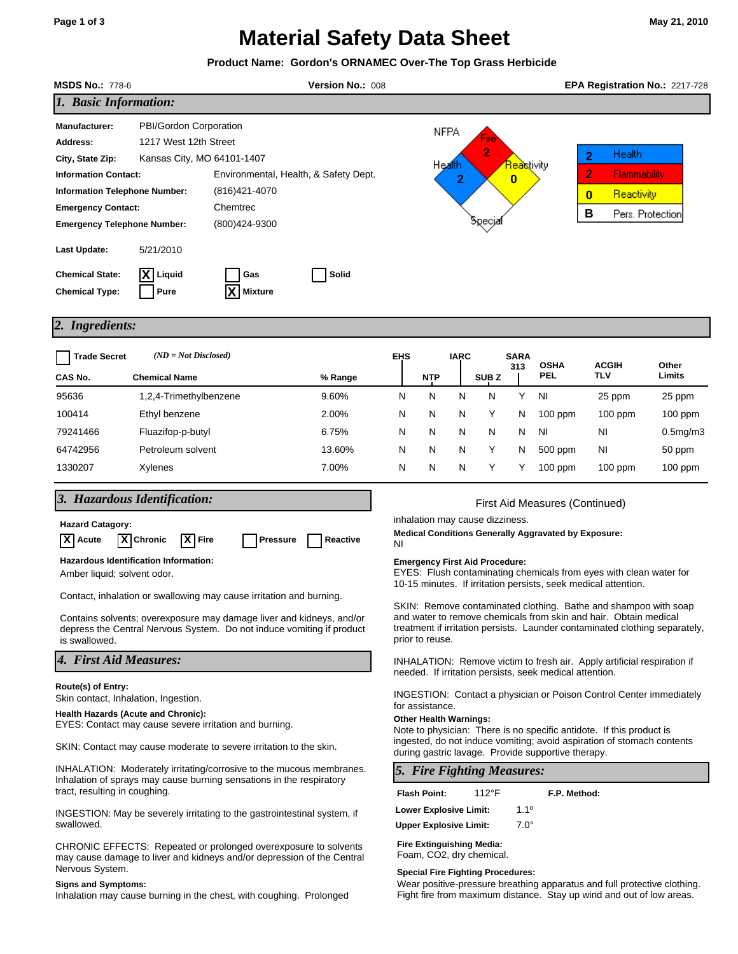# **Material Safety Data Sheet**

| Product Name: Gordon's ORNAMEC Over-The Top Grass Herbicide                                                                                                                                                                                                                                                                                                      |                                                |                       |         |                                                                                                                                           |                                                                                                                                                                                                                                       |                                                                                                                              |             |                  |                    |                           |                                                                                                   |                 |  |  |
|------------------------------------------------------------------------------------------------------------------------------------------------------------------------------------------------------------------------------------------------------------------------------------------------------------------------------------------------------------------|------------------------------------------------|-----------------------|---------|-------------------------------------------------------------------------------------------------------------------------------------------|---------------------------------------------------------------------------------------------------------------------------------------------------------------------------------------------------------------------------------------|------------------------------------------------------------------------------------------------------------------------------|-------------|------------------|--------------------|---------------------------|---------------------------------------------------------------------------------------------------|-----------------|--|--|
| <b>MSDS No.: 778-6</b><br>Version No.: 008                                                                                                                                                                                                                                                                                                                       |                                                |                       |         |                                                                                                                                           |                                                                                                                                                                                                                                       |                                                                                                                              |             |                  |                    |                           | EPA Registration No.: 2217-728                                                                    |                 |  |  |
| 1. Basic Information:                                                                                                                                                                                                                                                                                                                                            |                                                |                       |         |                                                                                                                                           |                                                                                                                                                                                                                                       |                                                                                                                              |             |                  |                    |                           |                                                                                                   |                 |  |  |
| PBI/Gordon Corporation<br>Manufacturer:<br>1217 West 12th Street<br>Address:<br>Kansas City, MO 64101-1407<br>City, State Zip:<br>Environmental, Health, & Safety Dept.<br><b>Information Contact:</b><br>(816) 421-4070<br><b>Information Telephone Number:</b><br>Chemtrec<br><b>Emergency Contact:</b><br>(800)424-9300<br><b>Emergency Telephone Number:</b> |                                                |                       |         | <b>NFPA</b><br>2<br><mark>Rea</mark> stivity<br>Health<br>2<br>$\bf{0}$<br>бресја                                                         |                                                                                                                                                                                                                                       |                                                                                                                              |             |                  |                    |                           | <b>Health</b><br>2<br>2<br><b>Flammability</b><br>Reactivity<br>$\bf{0}$<br>B<br>Pers. Protection |                 |  |  |
| Last Update:<br><b>Chemical State:</b><br><b>Chemical Type:</b>                                                                                                                                                                                                                                                                                                  | 5/21/2010<br>Liquid<br>Pure                    | Gas<br><b>Mixture</b> | Solid   |                                                                                                                                           |                                                                                                                                                                                                                                       |                                                                                                                              |             |                  |                    |                           |                                                                                                   |                 |  |  |
| <b>Ingredients:</b><br>2.                                                                                                                                                                                                                                                                                                                                        |                                                |                       |         |                                                                                                                                           |                                                                                                                                                                                                                                       |                                                                                                                              |             |                  |                    |                           |                                                                                                   |                 |  |  |
| <b>Trade Secret</b><br>CAS No.                                                                                                                                                                                                                                                                                                                                   | $(ND = Not Disclosed)$<br><b>Chemical Name</b> |                       | % Range | <b>EHS</b>                                                                                                                                |                                                                                                                                                                                                                                       | NTP                                                                                                                          | <b>IARC</b> | SUB <sub>Z</sub> | <b>SARA</b><br>313 | <b>OSHA</b><br><b>PEL</b> | <b>ACGIH</b><br>TLV                                                                               | Other<br>Limits |  |  |
| 95636                                                                                                                                                                                                                                                                                                                                                            | 1,2,4-Trimethylbenzene                         |                       | 9.60%   | N                                                                                                                                         |                                                                                                                                                                                                                                       | N                                                                                                                            | N           | N                | Y                  | NI                        | 25 ppm                                                                                            | 25 ppm          |  |  |
| 100414                                                                                                                                                                                                                                                                                                                                                           | Ethyl benzene                                  |                       | 2.00%   | N                                                                                                                                         |                                                                                                                                                                                                                                       | N                                                                                                                            | N           | Υ                | N                  | $100$ ppm                 | $100$ ppm                                                                                         | $100$ ppm       |  |  |
| 79241466                                                                                                                                                                                                                                                                                                                                                         |                                                | Fluazifop-p-butyl     |         | N                                                                                                                                         |                                                                                                                                                                                                                                       | N                                                                                                                            | N           | N                | N                  | ΝI                        | ΝI                                                                                                | $0.5$ mg/m $3$  |  |  |
| 64742956                                                                                                                                                                                                                                                                                                                                                         | Petroleum solvent                              |                       | 13.60%  | N                                                                                                                                         |                                                                                                                                                                                                                                       | N                                                                                                                            | N           | Y                | N                  | 500 ppm                   | ΝI                                                                                                | 50 ppm          |  |  |
| 1330207                                                                                                                                                                                                                                                                                                                                                          | Xylenes                                        |                       | 7.00%   | N                                                                                                                                         |                                                                                                                                                                                                                                       | N                                                                                                                            | N           | Υ                | Y                  | $100$ ppm                 | $100$ ppm                                                                                         | $100$ ppm       |  |  |
| 3. Hazardous Identification:<br><b>Hazard Catagory:</b><br><b>X</b> Chronic<br>Reactive<br><b>X</b><br>Acute<br>X<br>Fire<br>Pressure                                                                                                                                                                                                                            |                                                |                       |         |                                                                                                                                           | First Aid Measures (Continued)<br>inhalation may cause dizziness.<br><b>Medical Conditions Generally Aggravated by Exposure:</b><br>ΝI                                                                                                |                                                                                                                              |             |                  |                    |                           |                                                                                                   |                 |  |  |
| Hazardous Identification Information:<br>Amber liquid; solvent odor.                                                                                                                                                                                                                                                                                             |                                                |                       |         |                                                                                                                                           | <b>Emergency First Aid Procedure:</b><br>EYES: Flush contaminating chemicals from eyes with clean water for<br>10-15 minutes. If irritation persists, seek medical attention.                                                         |                                                                                                                              |             |                  |                    |                           |                                                                                                   |                 |  |  |
| Contact, inhalation or swallowing may cause irritation and burning.<br>Contains solvents; overexposure may damage liver and kidneys, and/or<br>depress the Central Nervous System. Do not induce vomiting if product<br>is swallowed.                                                                                                                            |                                                |                       |         |                                                                                                                                           | SKIN: Remove contaminated clothing. Bathe and shampoo with soap<br>and water to remove chemicals from skin and hair. Obtain medical<br>treatment if irritation persists. Launder contaminated clothing separately,<br>prior to reuse. |                                                                                                                              |             |                  |                    |                           |                                                                                                   |                 |  |  |
| 4. First Aid Measures:                                                                                                                                                                                                                                                                                                                                           |                                                |                       |         | <b>INHALATION:</b> Remove victim to fresh air. Apply artificial respiration if<br>needed. If irritation persists, seek medical attention. |                                                                                                                                                                                                                                       |                                                                                                                              |             |                  |                    |                           |                                                                                                   |                 |  |  |
| Route(s) of Entry:<br>Skin contact, Inhalation, Ingestion.                                                                                                                                                                                                                                                                                                       |                                                |                       |         |                                                                                                                                           | <b>INGESTION:</b> Contact a physician or Poison Control Center immediately<br>for assistance.                                                                                                                                         |                                                                                                                              |             |                  |                    |                           |                                                                                                   |                 |  |  |
| <b>Health Hazards (Acute and Chronic):</b><br>EYES: Contact may cause severe irritation and burning.                                                                                                                                                                                                                                                             |                                                |                       |         |                                                                                                                                           | <b>Other Health Warnings:</b><br>Note to physician: There is no specific antidote. If this product is                                                                                                                                 |                                                                                                                              |             |                  |                    |                           |                                                                                                   |                 |  |  |
| SKIN: Contact may cause moderate to severe irritation to the skin.                                                                                                                                                                                                                                                                                               |                                                |                       |         |                                                                                                                                           |                                                                                                                                                                                                                                       | ingested, do not induce vomiting; avoid aspiration of stomach contents<br>during gastric lavage. Provide supportive therapy. |             |                  |                    |                           |                                                                                                   |                 |  |  |

INHALATION: Moderately irritating/corrosive to the mucous membranes. Inhalation of sprays may cause burning sensations in the respiratory tract, resulting in coughing.

INGESTION: May be severely irritating to the gastrointestinal system, if swallowed.

CHRONIC EFFECTS: Repeated or prolonged overexposure to solvents may cause damage to liver and kidneys and/or depression of the Central Nervous System.

# **Signs and Symptoms:**

Inhalation may cause burning in the chest, with coughing. Prolonged

*5. Fire Fighting Measures:* **Flash Point:** 112°F **F.P. Method:** 

| <b>Lower Explosive Limit:</b> | 1.1 <sup>0</sup> |
|-------------------------------|------------------|
| <b>Upper Explosive Limit:</b> | $7.0^\circ$      |

**Fire Extinguishing Media:** Foam, CO2, dry chemical.

### **Special Fire Fighting Procedures:**

Wear positive-pressure breathing apparatus and full protective clothing. Fight fire from maximum distance. Stay up wind and out of low areas.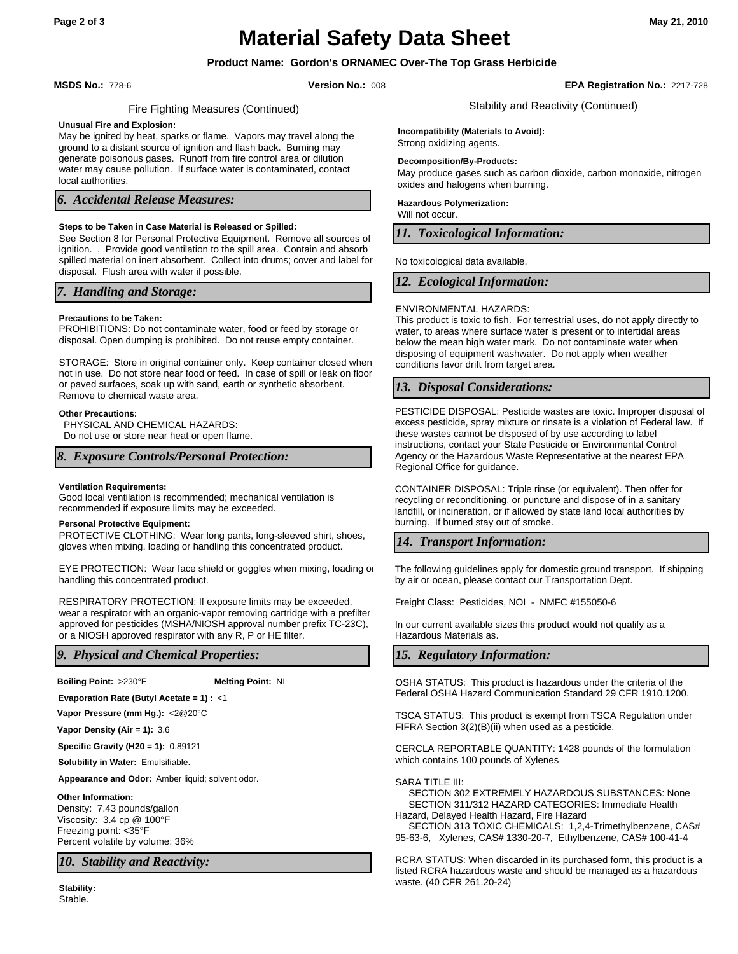# **Material Safety Data Sheet**

# **Product Name: Gordon's ORNAMEC Over-The Top Grass Herbicide**

**MSDS No.:** 778-6 **Version No.:** 008 **EPA Registration No.:** 2217-728

Stability and Reactivity (Continued)

# Fire Fighting Measures (Continued)

#### **Unusual Fire and Explosion:**

May be ignited by heat, sparks or flame. Vapors may travel along the ground to a distant source of ignition and flash back. Burning may generate poisonous gases. Runoff from fire control area or dilution water may cause pollution. If surface water is contaminated, contact local authorities.

## *6. Accidental Release Measures:*

### **Steps to be Taken in Case Material is Released or Spilled:**

See Section 8 for Personal Protective Equipment. Remove all sources of ignition. . Provide good ventilation to the spill area. Contain and absorb spilled material on inert absorbent. Collect into drums; cover and label for disposal. Flush area with water if possible.

# *7. Handling and Storage:*

#### **Precautions to be Taken:**

PROHIBITIONS: Do not contaminate water, food or feed by storage or disposal. Open dumping is prohibited. Do not reuse empty container.

STORAGE: Store in original container only. Keep container closed when not in use. Do not store near food or feed. In case of spill or leak on floor or paved surfaces, soak up with sand, earth or synthetic absorbent. Remove to chemical waste area.

#### **Other Precautions:**

PHYSICAL AND CHEMICAL HAZARDS: Do not use or store near heat or open flame.

### *8. Exposure Controls/Personal Protection:*

#### **Ventilation Requirements:**

Good local ventilation is recommended; mechanical ventilation is recommended if exposure limits may be exceeded.

#### **Personal Protective Equipment:**

PROTECTIVE CLOTHING: Wear long pants, long-sleeved shirt, shoes, gloves when mixing, loading or handling this concentrated product.

EYE PROTECTION: Wear face shield or goggles when mixing, loading or handling this concentrated product.

RESPIRATORY PROTECTION: If exposure limits may be exceeded, wear a respirator with an organic-vapor removing cartridge with a prefilter approved for pesticides (MSHA/NIOSH approval number prefix TC-23C), or a NIOSH approved respirator with any R, P or HE filter.

# *9. Physical and Chemical Properties:*

**Boiling Point:** >230°F **Melting Point:** NI

**Evaporation Rate (Butyl Acetate = 1) :** <1

**Vapor Pressure (mm Hg.):** <2@20°C

**Vapor Density (Air = 1):** 3.6

**Specific Gravity (H20 = 1):** 0.89121

**Solubility in Water:** Emulsifiable.

**Appearance and Odor:** Amber liquid; solvent odor.

#### **Other Information:**

Density: 7.43 pounds/gallon Viscosity: 3.4 cp @ 100°F Freezing point: <35°F Percent volatile by volume: 36%

*10. Stability and Reactivity:*

Stable. **Stability:** **Incompatibility (Materials to Avoid):**

Strong oxidizing agents.

#### **Decomposition/By-Products:**

May produce gases such as carbon dioxide, carbon monoxide, nitrogen oxides and halogens when burning.

**Hazardous Polymerization:**

Will not occur.

*11. Toxicological Information:*

No toxicological data available.

# *12. Ecological Information:*

#### ENVIRONMENTAL HAZARDS:

This product is toxic to fish. For terrestrial uses, do not apply directly to water, to areas where surface water is present or to intertidal areas below the mean high water mark. Do not contaminate water when disposing of equipment washwater. Do not apply when weather conditions favor drift from target area.

# *13. Disposal Considerations:*

PESTICIDE DISPOSAL: Pesticide wastes are toxic. Improper disposal of excess pesticide, spray mixture or rinsate is a violation of Federal law. If these wastes cannot be disposed of by use according to label instructions, contact your State Pesticide or Environmental Control Agency or the Hazardous Waste Representative at the nearest EPA Regional Office for guidance.

CONTAINER DISPOSAL: Triple rinse (or equivalent). Then offer for recycling or reconditioning, or puncture and dispose of in a sanitary landfill, or incineration, or if allowed by state land local authorities by burning. If burned stay out of smoke.

# *14. Transport Information:*

The following guidelines apply for domestic ground transport. If shipping by air or ocean, please contact our Transportation Dept.

Freight Class: Pesticides, NOI - NMFC #155050-6

In our current available sizes this product would not qualify as a Hazardous Materials as.

# *15. Regulatory Information:*

OSHA STATUS: This product is hazardous under the criteria of the Federal OSHA Hazard Communication Standard 29 CFR 1910.1200.

FIFRA Section 3(2)(B)(ii) when used as a pesticide.

CERCLA REPORTABLE QUANTITY: 1428 pounds of the formulation which contains 100 pounds of Xylenes

#### SARA TITLE III:

 SECTION 302 EXTREMELY HAZARDOUS SUBSTANCES: None SECTION 311/312 HAZARD CATEGORIES: Immediate Health Hazard, Delayed Health Hazard, Fire Hazard

 SECTION 313 TOXIC CHEMICALS: 1,2,4-Trimethylbenzene, CAS# 95-63-6, Xylenes, CAS# 1330-20-7, Ethylbenzene, CAS# 100-41-4

RCRA STATUS: When discarded in its purchased form, this product is a listed RCRA hazardous waste and should be managed as a hazardous waste. (40 CFR 261.20-24)

TSCA STATUS: This product is exempt from TSCA Regulation under